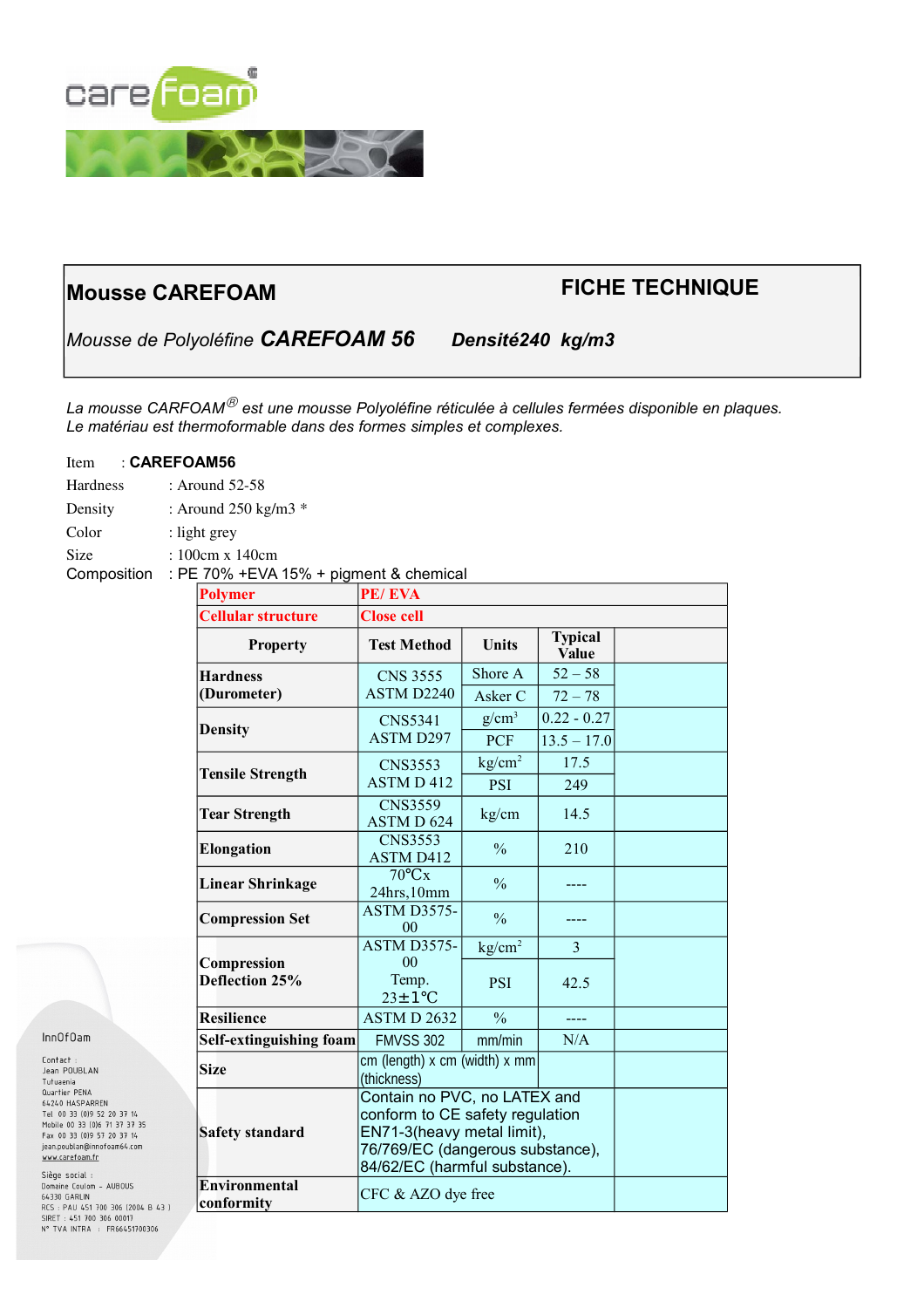

# **Mousse CAREFOAM FICHE TECHNIQUE**

*Mousse de Polyoléfine CAREFOAM 56 Densité240 kg/m3*

*La mousse CARFOAM est une mousse Polyoléfine réticulée à cellules fermées disponible en plaques. Le matériau est thermoformable dans des formes simples et complexes.*

# Item : **CAREFOAM56**

- Hardness : Around 52-58
- Density : Around 250 kg/m3  $*$
- Color : light grey
- Size : 100cm x 140cm
- Composition : PE 70% +EVA 15% + pigment & chemical

| <b>Polymer</b>                     | PE/EVA                                                                                                                                                             |                    |                                |  |
|------------------------------------|--------------------------------------------------------------------------------------------------------------------------------------------------------------------|--------------------|--------------------------------|--|
| <b>Cellular structure</b>          | <b>Close cell</b>                                                                                                                                                  |                    |                                |  |
| <b>Property</b>                    | <b>Test Method</b>                                                                                                                                                 | <b>Units</b>       | <b>Typical</b><br><b>Value</b> |  |
| <b>Hardness</b>                    | <b>CNS 3555</b>                                                                                                                                                    | Shore A            | $52 - 58$                      |  |
| (Durometer)                        | <b>ASTM D2240</b>                                                                                                                                                  | Asker C            | $72 - 78$                      |  |
| <b>Density</b>                     | <b>CNS5341</b><br><b>ASTM D297</b>                                                                                                                                 | $g/cm^3$           | $0.22 - 0.27$                  |  |
|                                    |                                                                                                                                                                    | <b>PCF</b>         | $13.5 - 17.0$                  |  |
| <b>Tensile Strength</b>            | <b>CNS3553</b><br><b>ASTMD412</b>                                                                                                                                  | kg/cm <sup>2</sup> | 17.5                           |  |
|                                    |                                                                                                                                                                    | <b>PSI</b>         | 249                            |  |
| <b>Tear Strength</b>               | <b>CNS3559</b><br>ASTM D 624                                                                                                                                       | kg/cm              | 14.5                           |  |
| <b>Elongation</b>                  | <b>CNS3553</b><br><b>ASTM D412</b>                                                                                                                                 | $\frac{0}{0}$      | 210                            |  |
| <b>Linear Shrinkage</b>            | $70^{\circ}$ Cx<br>24hrs, 10mm                                                                                                                                     | $\frac{0}{0}$      |                                |  |
| <b>Compression Set</b>             | <b>ASTM D3575-</b><br>00                                                                                                                                           | $\frac{0}{0}$      |                                |  |
|                                    | <b>ASTM D3575-</b>                                                                                                                                                 | kg/cm <sup>2</sup> | 3                              |  |
| Compression<br>Deflection 25%      | 0 <sub>0</sub><br>Temp.<br>$23 \pm 1$ °C                                                                                                                           | <b>PSI</b>         | 42.5                           |  |
| <b>Resilience</b>                  | ASTM D 2632                                                                                                                                                        | $\frac{0}{0}$      | ----                           |  |
| Self-extinguishing foam            | <b>FMVSS 302</b>                                                                                                                                                   | mm/min             | N/A                            |  |
| <b>Size</b>                        | cm (length) $x$ cm (width) $x$ mm<br>(thickness)                                                                                                                   |                    |                                |  |
| <b>Safety standard</b>             | Contain no PVC, no LATEX and<br>conform to CE safety regulation<br>EN71-3(heavy metal limit),<br>76/769/EC (dangerous substance),<br>84/62/EC (harmful substance). |                    |                                |  |
| <b>Environmental</b><br>conformity | CFC & AZO dye free                                                                                                                                                 |                    |                                |  |

## Inn0f0am

Siège social : Domaine Coulom - AUBOUS 64330 GARLIN 04330 GARLIN<br>RCS : PAU 451 700 306 (2004 B 43 )<br>SIRET : 451 700 306 00017<br>N° TVA INTRA : FR66451700306